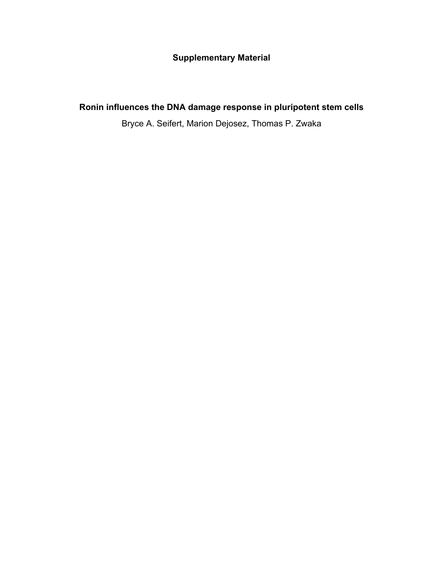## **Supplementary Material**

## **Ronin influences the DNA damage response in pluripotent stem cells**

Bryce A. Seifert, Marion Dejosez, Thomas P. Zwaka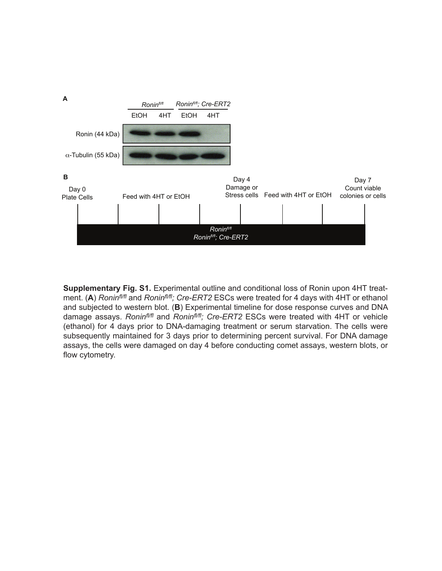

**Supplementary Fig. S1.** Experimental outline and conditional loss of Ronin upon 4HT treatment. (**A**) *Roninfl/fl* and *Roninfl/fl; Cre-ERT2* ESCs were treated for 4 days with 4HT or ethanol and subjected to western blot. (**B**) Experimental timeline for dose response curves and DNA damage assays. *Roninfl/fl* and *Roninfl/fl; Cre-ERT2* ESCs were treated with 4HT or vehicle (ethanol) for 4 days prior to DNA-damaging treatment or serum starvation. The cells were subsequently maintained for 3 days prior to determining percent survival. For DNA damage assays, the cells were damaged on day 4 before conducting comet assays, western blots, or flow cytometry.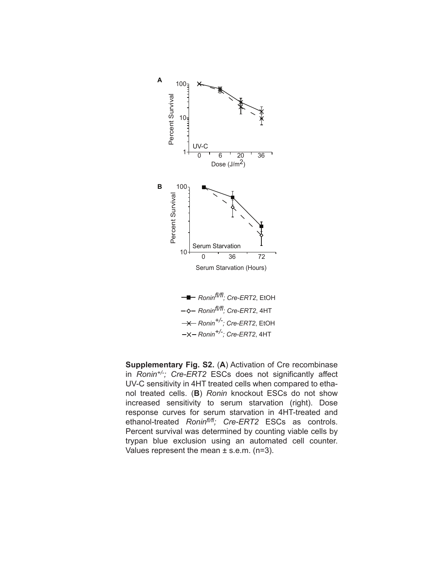

*Ronin+/-; Cre-ERT2*, EtOH *Ronin+/-; Cre-ERT2*, 4HT **<sup>-■</sup>** *Ronin<sup>f|/fl</sup>; Cre-ERT2*, EtOH *Roninfl/fl; Cre-ERT2*, 4HT

**Supplementary Fig. S2.** (**A**) Activation of Cre recombinase in *Ronin+/-; Cre-ERT2* ESCs does not significantly affect UV-C sensitivity in 4HT treated cells when compared to ethanol treated cells. (**B**) *Ronin* knockout ESCs do not show increased sensitivity to serum starvation (right). Dose response curves for serum starvation in 4HT-treated and ethanol-treated *Roninfl/fl; Cre-ERT2* ESCs as controls. Percent survival was determined by counting viable cells by trypan blue exclusion using an automated cell counter. Values represent the mean ± s.e.m. (n=3).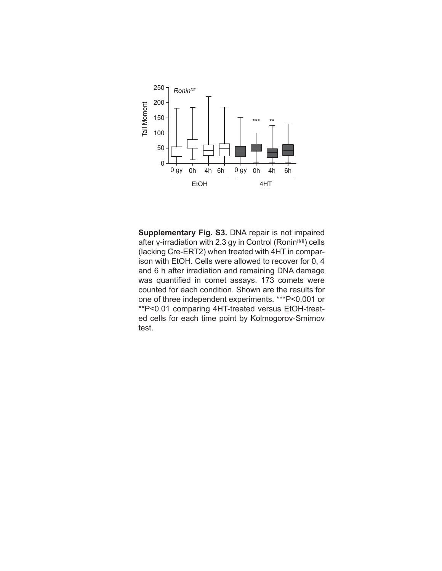

**Supplementary Fig. S3.** DNA repair is not impaired after γ-irradiation with 2.3 gy in Control (Roninfl/fl) cells (lacking Cre-ERT2) when treated with 4HT in comparison with EtOH. Cells were allowed to recover for 0, 4 and 6 h after irradiation and remaining DNA damage was quantified in comet assays. 173 comets were counted for each condition. Shown are the results for one of three independent experiments. \*\*\*P<0.001 or \*\*P<0.01 comparing 4HT-treated versus EtOH-treated cells for each time point by Kolmogorov-Smirnov test.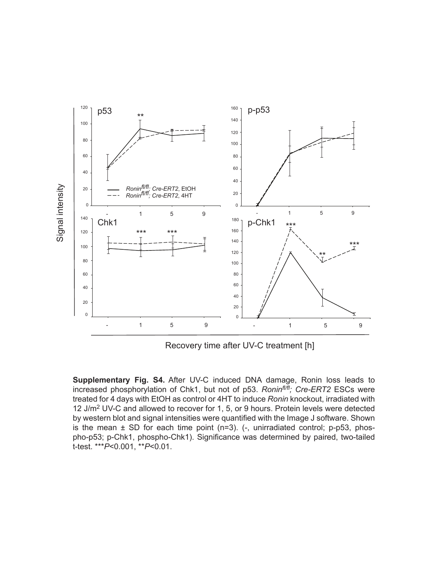

Recovery time after UV-C treatment [h]

**Supplementary Fig. S4.** After UV-C induced DNA damage, Ronin loss leads to increased phosphorylation of Chk1, but not of p53. *Roninfl/fl; Cre-ERT2* ESCs were treated for 4 days with EtOH as control or 4HT to induce *Ronin* knockout, irradiated with 12 J/m2 UV-C and allowed to recover for 1, 5, or 9 hours. Protein levels were detected by western blot and signal intensities were quantified with the Image J software. Shown is the mean  $\pm$  SD for each time point (n=3). (-, unirradiated control; p-p53, phospho-p53; p-Chk1, phospho-Chk1). Significance was determined by paired, two-tailed t-test. \*\*\**P*<0.001, \*\**P*<0.01.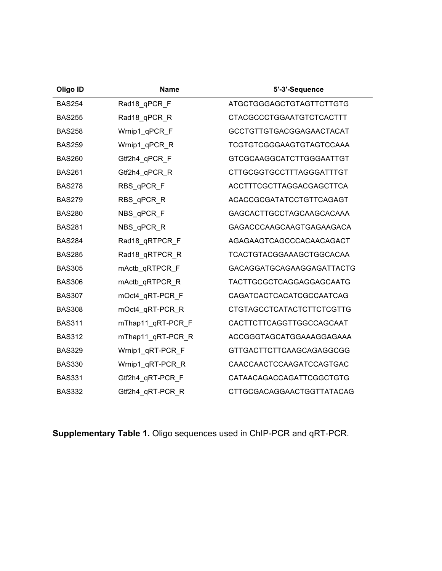| Oligo ID      | <b>Name</b>       | 5'-3'-Sequence                   |
|---------------|-------------------|----------------------------------|
| <b>BAS254</b> | Rad18_qPCR_F      | ATGCTGGGAGCTGTAGTTCTTGTG         |
| <b>BAS255</b> | Rad18_qPCR_R      | <b>CTACGCCCTGGAATGTCTCACTTT</b>  |
| <b>BAS258</b> | Wrnip1 qPCR F     | GCCTGTTGTGACGGAGAACTACAT         |
| <b>BAS259</b> | Wrnip1 qPCR R     | TCGTGTCGGGAAGTGTAGTCCAAA         |
| <b>BAS260</b> | Gtf2h4_qPCR_F     | <b>GTCGCAAGGCATCTTGGGAATTGT</b>  |
| <b>BAS261</b> | Gtf2h4 qPCR R     | <b>CTTGCGGTGCCTTTAGGGATTTGT</b>  |
| <b>BAS278</b> | RBS qPCR F        | ACCTTTCGCTTAGGACGAGCTTCA         |
| <b>BAS279</b> | RBS qPCR R        | ACACCGCGATATCCTGTTCAGAGT         |
| <b>BAS280</b> | NBS qPCR F        | GAGCACTTGCCTAGCAAGCACAAA         |
| <b>BAS281</b> | NBS_qPCR_R        | GAGACCCAAGCAAGTGAGAAGACA         |
| <b>BAS284</b> | Rad18_qRTPCR_F    | AGAGAAGTCAGCCCACAACAGACT         |
| <b>BAS285</b> | Rad18 qRTPCR R    | TCACTGTACGGAAAGCTGGCACAA         |
| <b>BAS305</b> | mActb_qRTPCR_F    | GACAGGATGCAGAAGGAGATTACTG        |
| <b>BAS306</b> | mActb_qRTPCR_R    | TACTTGCGCTCAGGAGGAGCAATG         |
| <b>BAS307</b> | mOct4 qRT-PCR F   | CAGATCACTCACATCGCCAATCAG         |
| <b>BAS308</b> | mOct4_qRT-PCR_R   | <b>CTGTAGCCTCATACTCTTCTCGTTG</b> |
| <b>BAS311</b> | mThap11_qRT-PCR_F | CACTTCTTCAGGTTGGCCAGCAAT         |
| <b>BAS312</b> | mThap11 qRT-PCR R | ACCGGGTAGCATGGAAAGGAGAAA         |
| <b>BAS329</b> | Wrnip1 qRT-PCR F  | <b>GTTGACTTCTTCAAGCAGAGGCGG</b>  |
| <b>BAS330</b> | Wrnip1 qRT-PCR R  | CAACCAACTCCAAGATCCAGTGAC         |
| <b>BAS331</b> | Gtf2h4 qRT-PCR F  | CATAACAGACCAGATTCGGCTGTG         |
| <b>BAS332</b> | Gtf2h4 qRT-PCR R  | CTTGCGACAGGAACTGGTTATACAG        |

**Supplementary Table 1.** Oligo sequences used in ChIP-PCR and qRT-PCR.